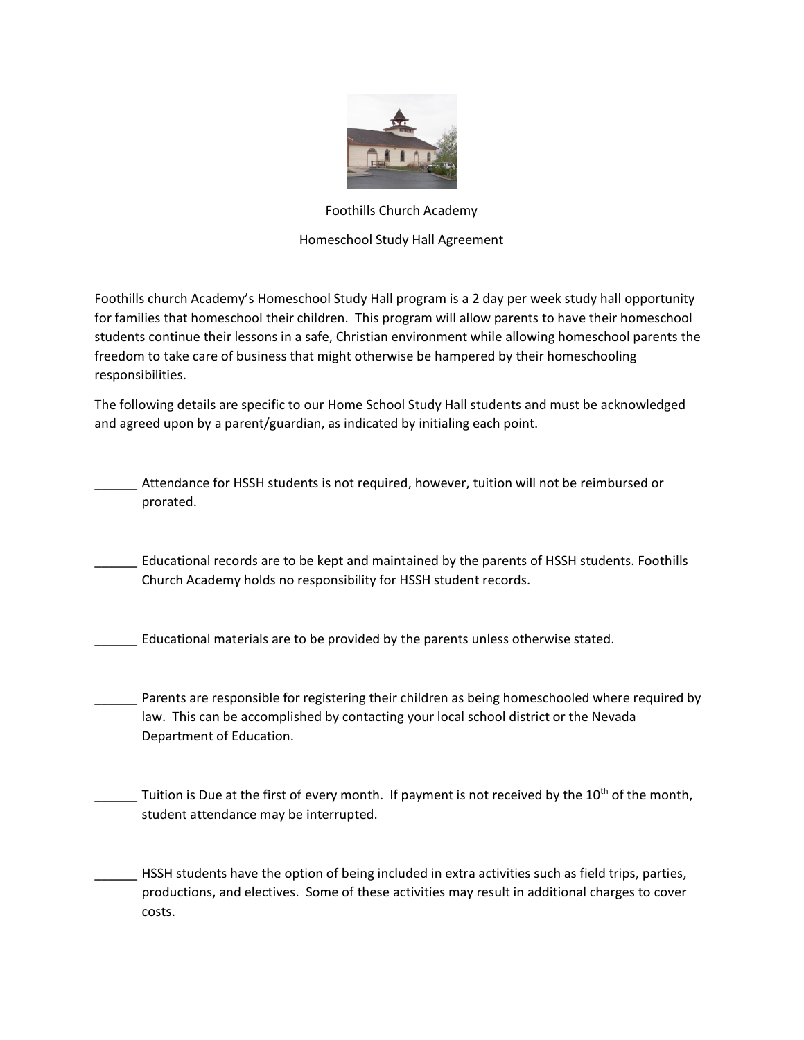

## Foothills Church Academy

## Homeschool Study Hall Agreement

Foothills church Academy's Homeschool Study Hall program is a 2 day per week study hall opportunity for families that homeschool their children. This program will allow parents to have their homeschool students continue their lessons in a safe, Christian environment while allowing homeschool parents the freedom to take care of business that might otherwise be hampered by their homeschooling responsibilities.

The following details are specific to our Home School Study Hall students and must be acknowledged and agreed upon by a parent/guardian, as indicated by initialing each point.

Attendance for HSSH students is not required, however, tuition will not be reimbursed or prorated.

Educational records are to be kept and maintained by the parents of HSSH students. Foothills Church Academy holds no responsibility for HSSH student records.

\_\_\_\_\_\_ Educational materials are to be provided by the parents unless otherwise stated.

Parents are responsible for registering their children as being homeschooled where required by law. This can be accomplished by contacting your local school district or the Nevada Department of Education.

Tuition is Due at the first of every month. If payment is not received by the 10<sup>th</sup> of the month, student attendance may be interrupted.

HSSH students have the option of being included in extra activities such as field trips, parties, productions, and electives. Some of these activities may result in additional charges to cover costs.